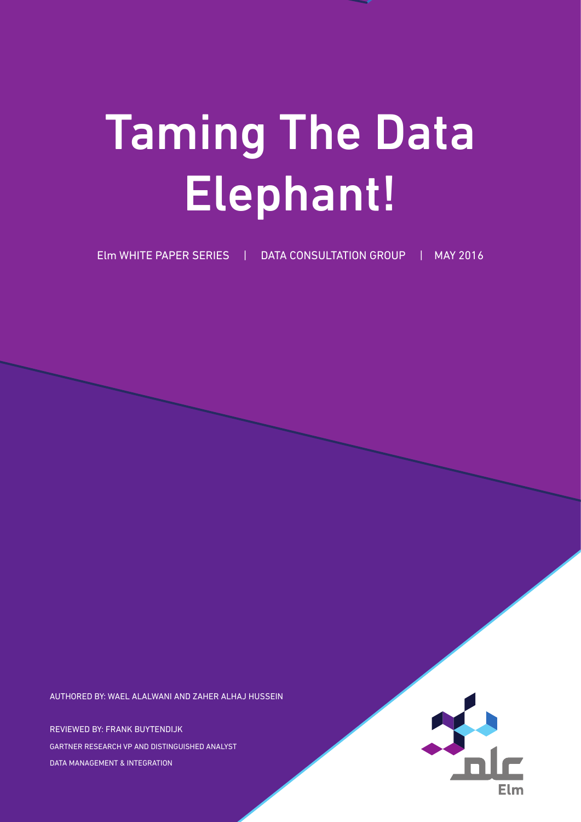# Taming The Data Elephant!

Elm WHITE PAPER SERIES | DATA CONSULTATION GROUP | MAY 2016

AUTHORED BY: WAEL ALALWANI AND ZAHER ALHAJ HUSSEIN

REVIEWED BY: FRANK BUYTENDIJK GARTNER RESEARCH VP AND DISTINGUISHED ANALYST DATA MANAGEMENT & INTEGRATION

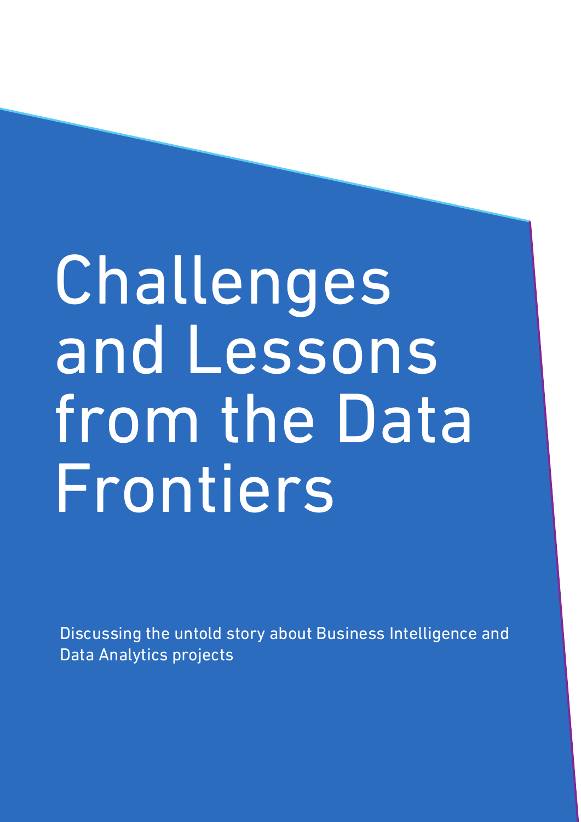# Challenges and Lessons from the Data Frontiers

Discussing the untold story about Business Intelligence and Data Analytics projects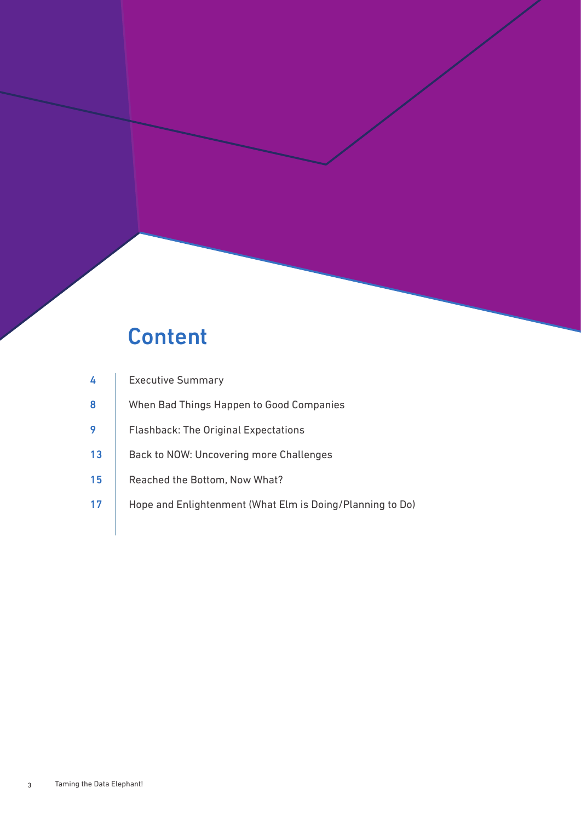### **Content**

| 4  | <b>Executive Summary</b>                                  |
|----|-----------------------------------------------------------|
| 8  | When Bad Things Happen to Good Companies                  |
|    | <b>Flashback: The Original Expectations</b>               |
| 13 | Back to NOW: Uncovering more Challenges                   |
| 15 | Reached the Bottom, Now What?                             |
| 17 | Hope and Enlightenment (What Elm is Doing/Planning to Do) |
|    |                                                           |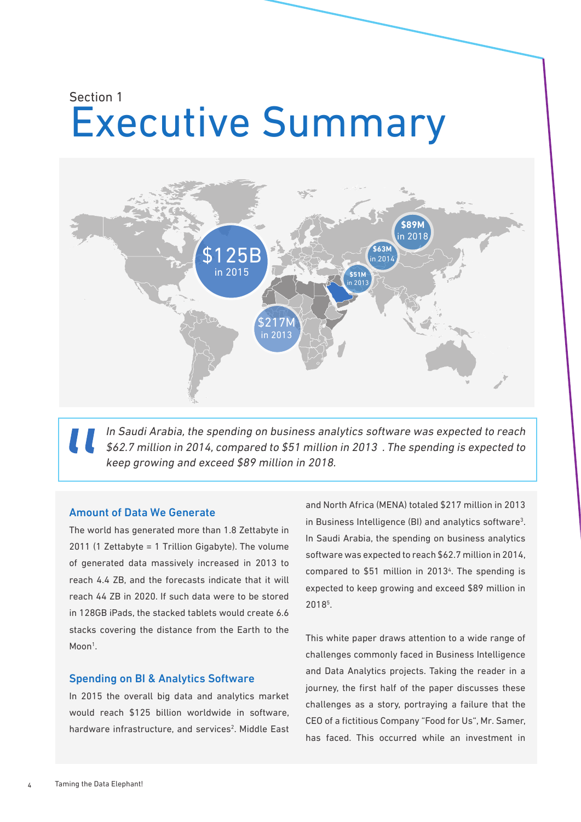### Executive Summary Section 1



In Saudi Arabia, the spending on business analytics software was expected to reach \$62.7 million in 2014, compared to \$51 million in 2013 . The spending is expected to keep growing and exceed \$89 million in 2018.

#### Amount of Data We Generate

The world has generated more than 1.8 Zettabyte in 2011 (1 Zettabyte = 1 Trillion Gigabyte). The volume of generated data massively increased in 2013 to reach 4.4 ZB, and the forecasts indicate that it will reach 44 ZB in 2020. If such data were to be stored in 128GB iPads, the stacked tablets would create 6.6 stacks covering the distance from the Earth to the Moon<sup>1</sup>.

#### Spending on BI & Analytics Software

In 2015 the overall big data and analytics market would reach \$125 billion worldwide in software, hardware infrastructure, and services<sup>2</sup>. Middle East

and North Africa (MENA) totaled \$217 million in 2013 in Business Intelligence (BI) and analytics software<sup>3</sup>. In Saudi Arabia, the spending on business analytics software was expected to reach \$62.7 million in 2014, compared to \$51 million in 2013<sup>4</sup>. The spending is expected to keep growing and exceed \$89 million in 20185 .

This white paper draws attention to a wide range of challenges commonly faced in Business Intelligence and Data Analytics projects. Taking the reader in a journey, the first half of the paper discusses these challenges as a story, portraying a failure that the CEO of a fictitious Company "Food for Us", Mr. Samer, has faced. This occurred while an investment in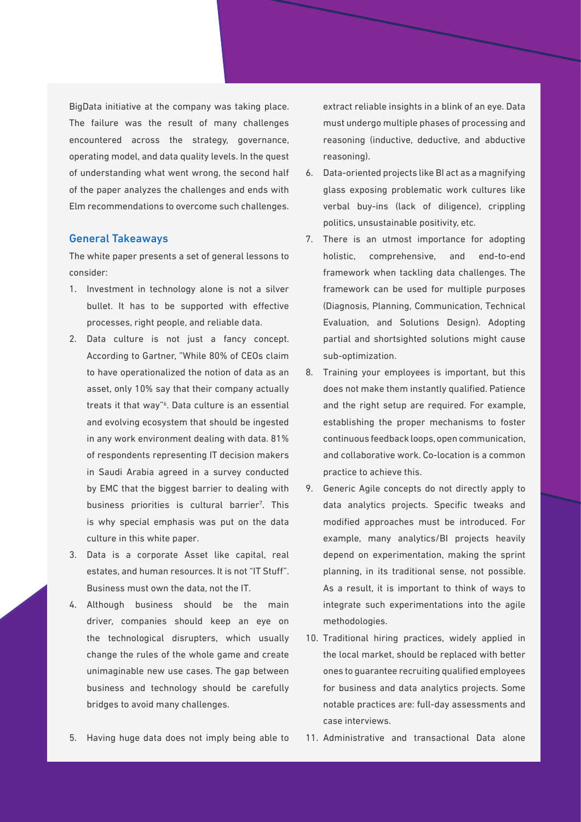BigData initiative at the company was taking place. The failure was the result of many challenges encountered across the strategy, governance, operating model, and data quality levels. In the quest of understanding what went wrong, the second half of the paper analyzes the challenges and ends with Elm recommendations to overcome such challenges.

#### General Takeaways

The white paper presents a set of general lessons to consider:

- 1. Investment in technology alone is not a silver bullet. It has to be supported with effective processes, right people, and reliable data.
- 2. Data culture is not just a fancy concept. According to Gartner, "While 80% of CEOs claim to have operationalized the notion of data as an asset, only 10% say that their company actually treats it that way"6 . Data culture is an essential and evolving ecosystem that should be ingested in any work environment dealing with data. 81% of respondents representing IT decision makers in Saudi Arabia agreed in a survey conducted by EMC that the biggest barrier to dealing with business priorities is cultural barrier<sup>7</sup>. This is why special emphasis was put on the data culture in this white paper.
- 3. Data is a corporate Asset like capital, real estates, and human resources. It is not "IT Stuff". Business must own the data, not the IT.
- 4. Although business should be the main driver, companies should keep an eye on the technological disrupters, which usually change the rules of the whole game and create unimaginable new use cases. The gap between business and technology should be carefully bridges to avoid many challenges.

6. Data-oriented projects like BI act as a magnifying glass exposing problematic work cultures like verbal buy-ins (lack of diligence), crippling politics, unsustainable positivity, etc.

reasoning).

7. There is an utmost importance for adopting holistic, comprehensive, and end-to-end framework when tackling data challenges. The framework can be used for multiple purposes (Diagnosis, Planning, Communication, Technical Evaluation, and Solutions Design). Adopting partial and shortsighted solutions might cause sub-optimization.

extract reliable insights in a blink of an eye. Data must undergo multiple phases of processing and reasoning (inductive, deductive, and abductive

- 8. Training your employees is important, but this does not make them instantly qualified. Patience and the right setup are required. For example, establishing the proper mechanisms to foster continuous feedback loops, open communication, and collaborative work. Co-location is a common practice to achieve this.
- 9. Generic Agile concepts do not directly apply to data analytics projects. Specific tweaks and modified approaches must be introduced. For example, many analytics/BI projects heavily depend on experimentation, making the sprint planning, in its traditional sense, not possible. As a result, it is important to think of ways to integrate such experimentations into the agile methodologies.
- 10. Traditional hiring practices, widely applied in the local market, should be replaced with better ones to guarantee recruiting qualified employees for business and data analytics projects. Some notable practices are: full-day assessments and case interviews.
- 5. Having huge data does not imply being able to
- 11. Administrative and transactional Data alone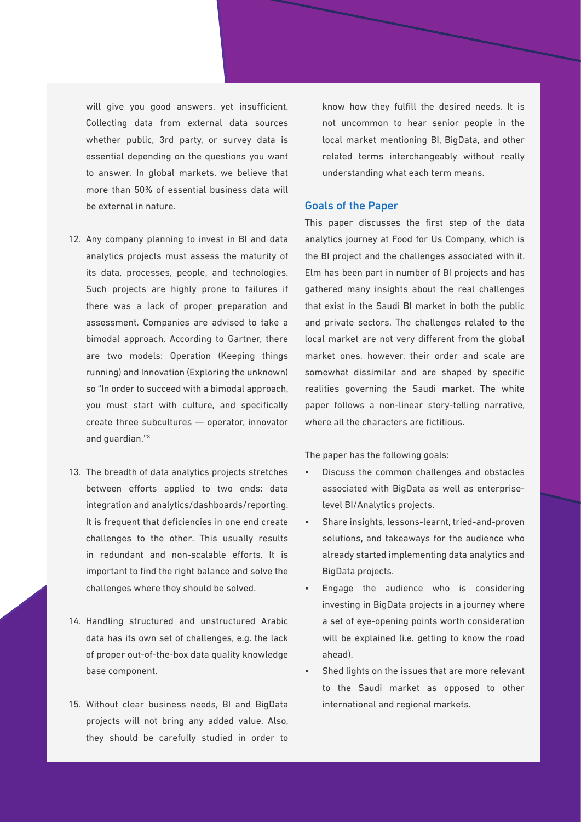will give you good answers, yet insufficient. Collecting data from external data sources whether public, 3rd party, or survey data is essential depending on the questions you want to answer. In global markets, we believe that more than 50% of essential business data will be external in nature.

- 12. Any company planning to invest in BI and data analytics projects must assess the maturity of its data, processes, people, and technologies. Such projects are highly prone to failures if there was a lack of proper preparation and assessment. Companies are advised to take a bimodal approach. According to Gartner, there are two models: Operation (Keeping things running) and Innovation (Exploring the unknown) so "In order to succeed with a bimodal approach, you must start with culture, and specifically create three subcultures — operator, innovator and guardian."<sup>8</sup>
- 13. The breadth of data analytics projects stretches between efforts applied to two ends: data integration and analytics/dashboards/reporting. It is frequent that deficiencies in one end create challenges to the other. This usually results in redundant and non-scalable efforts. It is important to find the right balance and solve the challenges where they should be solved.
- 14. Handling structured and unstructured Arabic data has its own set of challenges, e.g. the lack of proper out-of-the-box data quality knowledge base component.
- 15. Without clear business needs, BI and BigData projects will not bring any added value. Also, they should be carefully studied in order to

know how they fulfill the desired needs. It is not uncommon to hear senior people in the local market mentioning BI, BigData, and other related terms interchangeably without really understanding what each term means.

#### Goals of the Paper

This paper discusses the first step of the data analytics journey at Food for Us Company, which is the BI project and the challenges associated with it. Elm has been part in number of BI projects and has gathered many insights about the real challenges that exist in the Saudi BI market in both the public and private sectors. The challenges related to the local market are not very different from the global market ones, however, their order and scale are somewhat dissimilar and are shaped by specific realities governing the Saudi market. The white paper follows a non-linear story-telling narrative, where all the characters are fictitious.

The paper has the following goals:

- Discuss the common challenges and obstacles associated with BigData as well as enterpriselevel BI/Analytics projects.
- Share insights, lessons-learnt, tried-and-proven solutions, and takeaways for the audience who already started implementing data analytics and BigData projects.
- Engage the audience who is considering investing in BigData projects in a journey where a set of eye-opening points worth consideration will be explained (i.e. getting to know the road ahead).
- Shed lights on the issues that are more relevant to the Saudi market as opposed to other international and regional markets.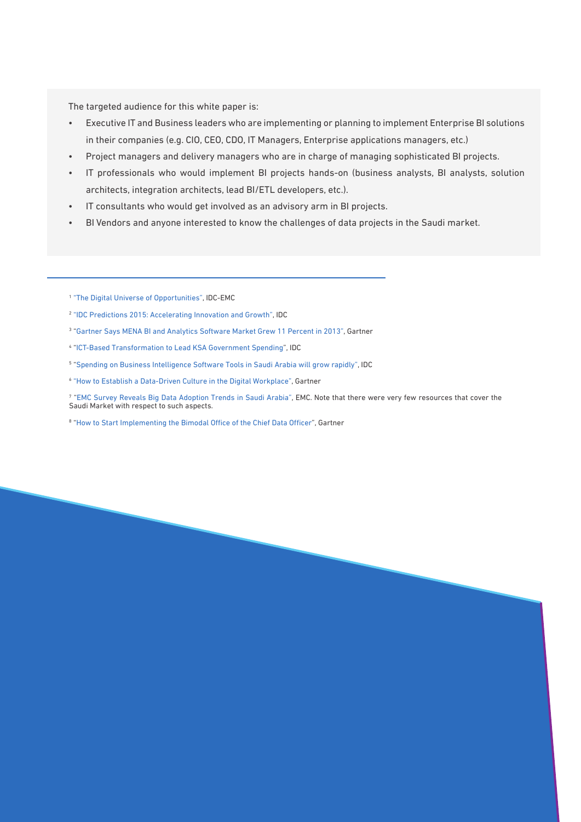The targeted audience for this white paper is:

- Executive IT and Business leaders who are implementing or planning to implement Enterprise BI solutions in their companies (e.g. CIO, CEO, CDO, IT Managers, Enterprise applications managers, etc.)
- Project managers and delivery managers who are in charge of managing sophisticated BI projects.
- IT professionals who would implement BI projects hands-on (business analysts, BI analysts, solution architects, integration architects, lead BI/ETL developers, etc.).
- IT consultants who would get involved as an advisory arm in BI projects.
- BI Vendors and anyone interested to know the challenges of data projects in the Saudi market.
- 1 "The Digital Universe of Opportunities", IDC-EMC
- <sup>2</sup> "IDC Predictions 2015: Accelerating Innovation and Growth", IDC
- 3 "Gartner Says MENA BI and Analytics Software Market Grew 11 Percent in 2013", Gartner
- 4 "ICT-Based Transformation to Lead KSA Government Spending", IDC
- 5 "Spending on Business Intelligence Software Tools in Saudi Arabia will grow rapidly", IDC
- <sup>6</sup> "How to Establish a Data-Driven Culture in the Digital Workplace", Gartner

7 "EMC Survey Reveals Big Data Adoption Trends in Saudi Arabia", EMC. Note that there were very few resources that cover the Saudi Market with respect to such aspects.

<sup>8</sup> "How to Start Implementing the Bimodal Office of the Chief Data Officer", Gartner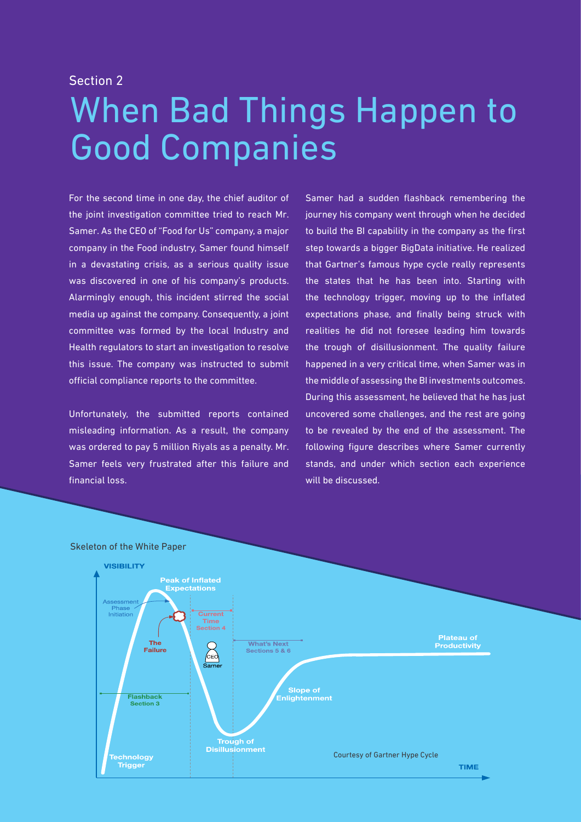#### Section 2

# When Bad Things Happen to Good Companies

For the second time in one day, the chief auditor of the joint investigation committee tried to reach Mr. Samer. As the CEO of "Food for Us" company, a major company in the Food industry, Samer found himself in a devastating crisis, as a serious quality issue was discovered in one of his company's products. Alarmingly enough, this incident stirred the social media up against the company. Consequently, a joint committee was formed by the local Industry and Health regulators to start an investigation to resolve this issue. The company was instructed to submit official compliance reports to the committee.

Unfortunately, the submitted reports contained misleading information. As a result, the company was ordered to pay 5 million Riyals as a penalty. Mr. Samer feels very frustrated after this failure and financial loss.

Samer had a sudden flashback remembering the journey his company went through when he decided to build the BI capability in the company as the first step towards a bigger BigData initiative. He realized that Gartner's famous hype cycle really represents the states that he has been into. Starting with the technology trigger, moving up to the inflated expectations phase, and finally being struck with realities he did not foresee leading him towards the trough of disillusionment. The quality failure happened in a very critical time, when Samer was in the middle of assessing the BI investments outcomes. During this assessment, he believed that he has just uncovered some challenges, and the rest are going to be revealed by the end of the assessment. The following figure describes where Samer currently stands, and under which section each experience will be discussed.



#### Skeleton of the White Paper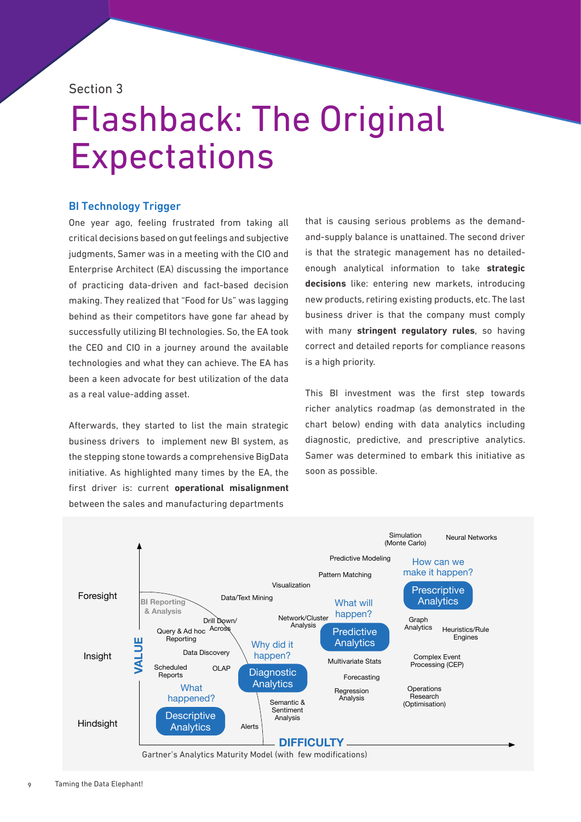Section 3

## Flashback: The Original **Expectations**

#### BI Technology Trigger

One year ago, feeling frustrated from taking all critical decisions based on gut feelings and subjective judgments, Samer was in a meeting with the CIO and Enterprise Architect (EA) discussing the importance of practicing data-driven and fact-based decision making. They realized that "Food for Us" was lagging behind as their competitors have gone far ahead by successfully utilizing BI technologies. So, the EA took the CEO and CIO in a journey around the available technologies and what they can achieve. The EA has been a keen advocate for best utilization of the data as a real value-adding asset.

Afterwards, they started to list the main strategic business drivers to implement new BI system, as the stepping stone towards a comprehensive BigData initiative. As highlighted many times by the EA, the first driver is: current **operational misalignment** between the sales and manufacturing departments

that is causing serious problems as the demandand-supply balance is unattained. The second driver is that the strategic management has no detailedenough analytical information to take **strategic decisions** like: entering new markets, introducing new products, retiring existing products, etc. The last business driver is that the company must comply with many **stringent regulatory rules**, so having correct and detailed reports for compliance reasons is a high priority.

This BI investment was the first step towards richer analytics roadmap (as demonstrated in the chart below) ending with data analytics including diagnostic, predictive, and prescriptive analytics. Samer was determined to embark this initiative as soon as possible.

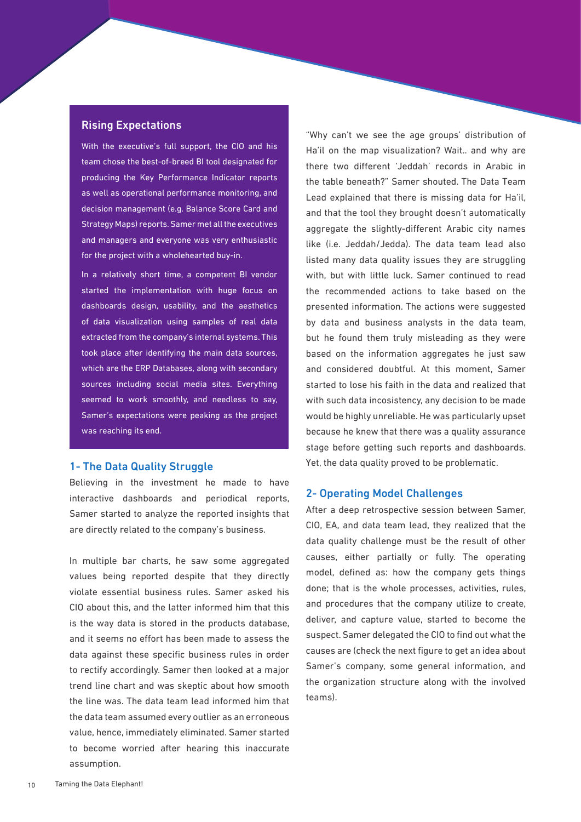#### Rising Expectations

With the executive's full support, the CIO and his team chose the best-of-breed BI tool designated for producing the Key Performance Indicator reports as well as operational performance monitoring, and decision management (e.g. Balance Score Card and Strategy Maps) reports. Samer met all the executives and managers and everyone was very enthusiastic for the project with a wholehearted buy-in.

In a relatively short time, a competent BI vendor started the implementation with huge focus on dashboards design, usability, and the aesthetics of data visualization using samples of real data extracted from the company's internal systems. This took place after identifying the main data sources, which are the ERP Databases, along with secondary sources including social media sites. Everything seemed to work smoothly, and needless to say, Samer's expectations were peaking as the project was reaching its end.

#### 1- The Data Quality Struggle

Believing in the investment he made to have interactive dashboards and periodical reports, Samer started to analyze the reported insights that are directly related to the company's business.

In multiple bar charts, he saw some aggregated values being reported despite that they directly violate essential business rules. Samer asked his CIO about this, and the latter informed him that this is the way data is stored in the products database, and it seems no effort has been made to assess the data against these specific business rules in order to rectify accordingly. Samer then looked at a major trend line chart and was skeptic about how smooth the line was. The data team lead informed him that the data team assumed every outlier as an erroneous value, hence, immediately eliminated. Samer started to become worried after hearing this inaccurate assumption.

"Why can't we see the age groups' distribution of Ha'il on the map visualization? Wait.. and why are there two different 'Jeddah' records in Arabic in the table beneath?" Samer shouted. The Data Team Lead explained that there is missing data for Ha'il, and that the tool they brought doesn't automatically aggregate the slightly-different Arabic city names like (i.e. Jeddah/Jedda). The data team lead also listed many data quality issues they are struggling with, but with little luck. Samer continued to read the recommended actions to take based on the presented information. The actions were suggested by data and business analysts in the data team, but he found them truly misleading as they were based on the information aggregates he just saw and considered doubtful. At this moment, Samer started to lose his faith in the data and realized that with such data incosistency, any decision to be made would be highly unreliable. He was particularly upset because he knew that there was a quality assurance stage before getting such reports and dashboards. Yet, the data quality proved to be problematic.

#### 2- Operating Model Challenges

After a deep retrospective session between Samer, CIO, EA, and data team lead, they realized that the data quality challenge must be the result of other causes, either partially or fully. The operating model, defined as: how the company gets things done; that is the whole processes, activities, rules, and procedures that the company utilize to create, deliver, and capture value, started to become the suspect. Samer delegated the CIO to find out what the causes are (check the next figure to get an idea about Samer's company, some general information, and the organization structure along with the involved teams).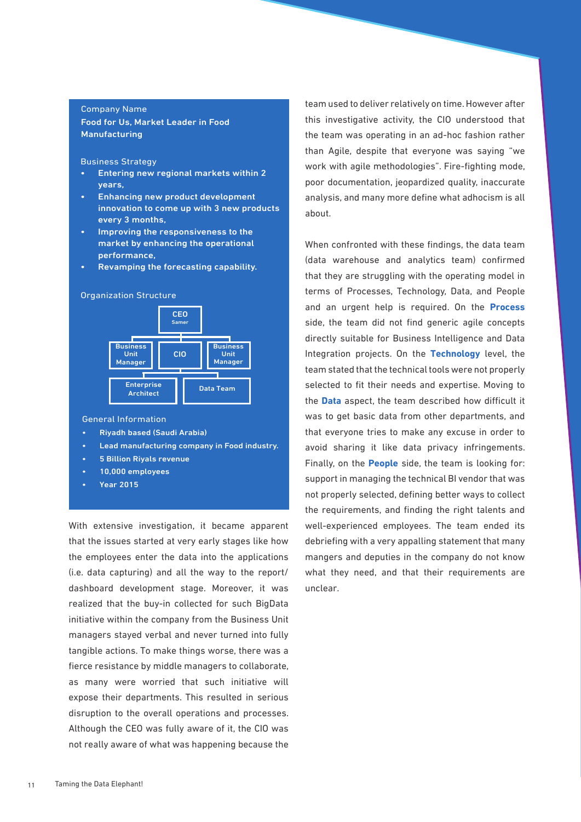#### Company Name

Food for Us, Market Leader in Food Manufacturing

Business Strategy

- Entering new regional markets within 2 years,
- Enhancing new product development innovation to come up with 3 new products every 3 months,
- Improving the responsiveness to the market by enhancing the operational performance,
- Revamping the forecasting capability.

#### Organization Structure



General Information

- Riyadh based (Saudi Arabia)
- Lead manufacturing company in Food industry.
- 5 Billion Riyals revenue
- 10,000 employees
- Year 2015

With extensive investigation, it became apparent that the issues started at very early stages like how the employees enter the data into the applications (i.e. data capturing) and all the way to the report/ dashboard development stage. Moreover, it was realized that the buy-in collected for such BigData initiative within the company from the Business Unit managers stayed verbal and never turned into fully tangible actions. To make things worse, there was a fierce resistance by middle managers to collaborate, as many were worried that such initiative will expose their departments. This resulted in serious disruption to the overall operations and processes. Although the CEO was fully aware of it, the CIO was not really aware of what was happening because the

team used to deliver relatively on time. However after this investigative activity, the CIO understood that the team was operating in an ad-hoc fashion rather than Agile, despite that everyone was saying "we work with agile methodologies". Fire-fighting mode, poor documentation, jeopardized quality, inaccurate analysis, and many more define what adhocism is all about.

When confronted with these findings, the data team (data warehouse and analytics team) confirmed that they are struggling with the operating model in terms of Processes, Technology, Data, and People and an urgent help is required. On the **Process** side, the team did not find generic agile concepts directly suitable for Business Intelligence and Data Integration projects. On the **Technology** level, the team stated that the technical tools were not properly selected to fit their needs and expertise. Moving to the **Data** aspect, the team described how difficult it was to get basic data from other departments, and that everyone tries to make any excuse in order to avoid sharing it like data privacy infringements. Finally, on the **People** side, the team is looking for: support in managing the technical BI vendor that was not properly selected, defining better ways to collect the requirements, and finding the right talents and well-experienced employees. The team ended its debriefing with a very appalling statement that many mangers and deputies in the company do not know what they need, and that their requirements are unclear.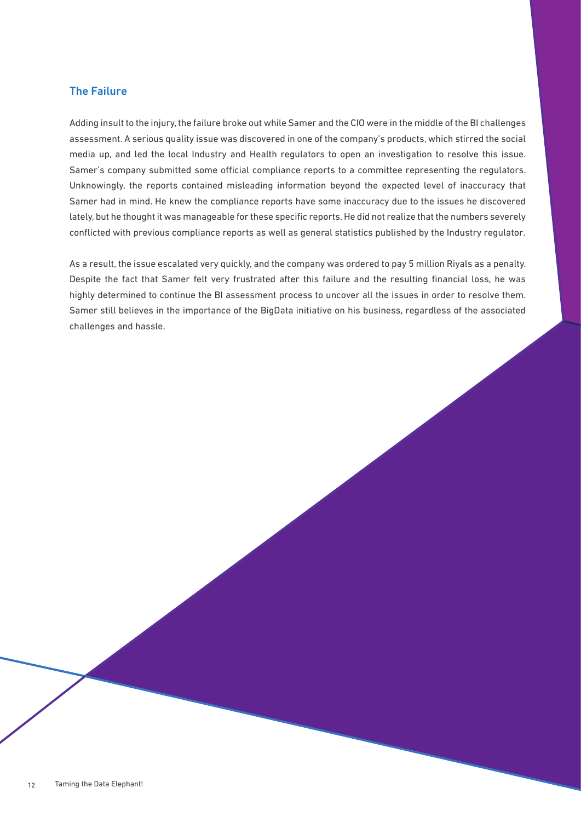#### The Failure

Adding insult to the injury, the failure broke out while Samer and the CIO were in the middle of the BI challenges assessment. A serious quality issue was discovered in one of the company's products, which stirred the social media up, and led the local Industry and Health regulators to open an investigation to resolve this issue. Samer's company submitted some official compliance reports to a committee representing the regulators. Unknowingly, the reports contained misleading information beyond the expected level of inaccuracy that Samer had in mind. He knew the compliance reports have some inaccuracy due to the issues he discovered lately, but he thought it was manageable for these specific reports. He did not realize that the numbers severely conflicted with previous compliance reports as well as general statistics published by the Industry regulator.

As a result, the issue escalated very quickly, and the company was ordered to pay 5 million Riyals as a penalty. Despite the fact that Samer felt very frustrated after this failure and the resulting financial loss, he was highly determined to continue the BI assessment process to uncover all the issues in order to resolve them. Samer still believes in the importance of the BigData initiative on his business, regardless of the associated challenges and hassle.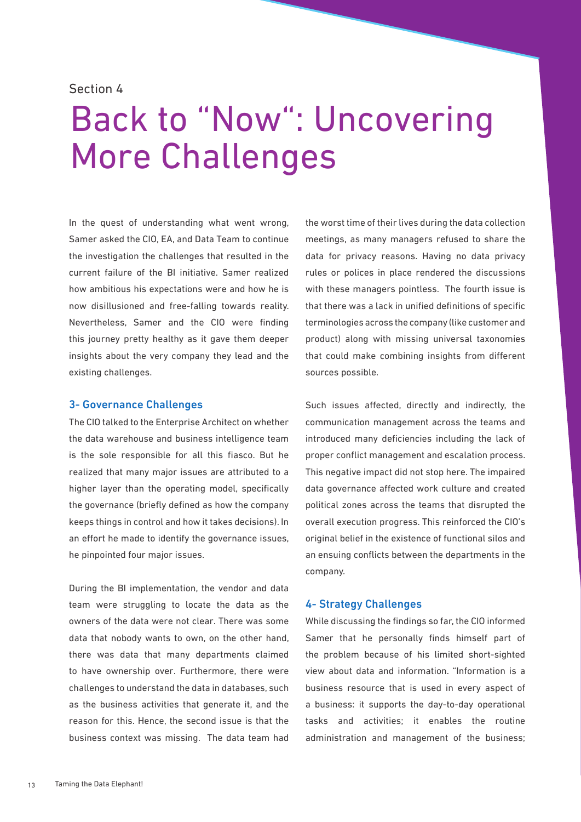#### Section 4

# Back to "Now": Uncovering More Challenges

In the quest of understanding what went wrong, Samer asked the CIO, EA, and Data Team to continue the investigation the challenges that resulted in the current failure of the BI initiative. Samer realized how ambitious his expectations were and how he is now disillusioned and free-falling towards reality. Nevertheless, Samer and the CIO were finding this journey pretty healthy as it gave them deeper insights about the very company they lead and the existing challenges.

#### 3- Governance Challenges

The CIO talked to the Enterprise Architect on whether the data warehouse and business intelligence team is the sole responsible for all this fiasco. But he realized that many major issues are attributed to a higher layer than the operating model, specifically the governance (briefly defined as how the company keeps things in control and how it takes decisions). In an effort he made to identify the governance issues, he pinpointed four major issues.

During the BI implementation, the vendor and data team were struggling to locate the data as the owners of the data were not clear. There was some data that nobody wants to own, on the other hand, there was data that many departments claimed to have ownership over. Furthermore, there were challenges to understand the data in databases, such as the business activities that generate it, and the reason for this. Hence, the second issue is that the business context was missing. The data team had the worst time of their lives during the data collection meetings, as many managers refused to share the data for privacy reasons. Having no data privacy rules or polices in place rendered the discussions with these managers pointless. The fourth issue is that there was a lack in unified definitions of specific terminologies across the company (like customer and product) along with missing universal taxonomies that could make combining insights from different sources possible.

Such issues affected, directly and indirectly, the communication management across the teams and introduced many deficiencies including the lack of proper conflict management and escalation process. This negative impact did not stop here. The impaired data governance affected work culture and created political zones across the teams that disrupted the overall execution progress. This reinforced the CIO's original belief in the existence of functional silos and an ensuing conflicts between the departments in the company.

#### 4- Strategy Challenges

While discussing the findings so far, the CIO informed Samer that he personally finds himself part of the problem because of his limited short-sighted view about data and information. "Information is a business resource that is used in every aspect of a business: it supports the day-to-day operational tasks and activities; it enables the routine administration and management of the business;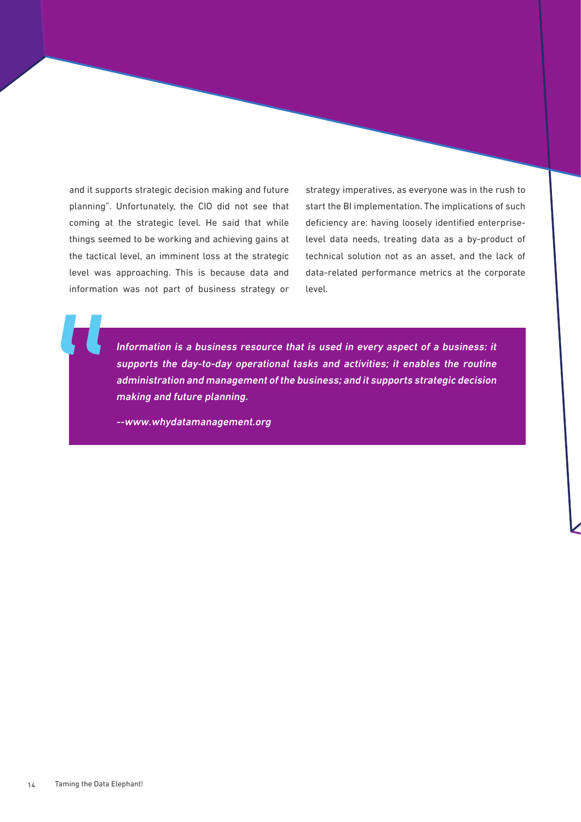and it supports strategic decision making and future planning". Unfortunately, the CIO did not see that coming at the strategic level. He said that while things seemed to be working and achieving gains at the tactical level, an imminent loss at the strategic level was approaching. This is because data and information was not part of business strategy or

strategy imperatives, as everyone was in the rush to start the BI implementation. The implications of such deficiency are: having loosely identified enterpriselevel data needs, treating data as a by-product of technical solution not as an asset, and the lack of data-related performance metrics at the corporate level.

Information is a business resource that is used in every aspect of a business: it supports the day-to-day operational tasks and activities; it enables the routine administration and management of the business; and it supports strategic decision making and future planning.

--www.whydatamanagement.org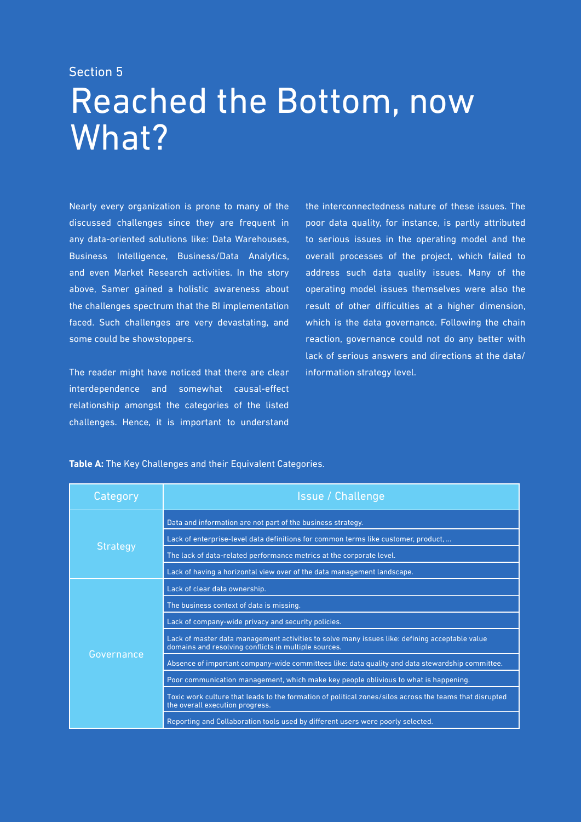### Reached the Bottom, now What? Section 5

Nearly every organization is prone to many of the discussed challenges since they are frequent in any data-oriented solutions like: Data Warehouses, Business Intelligence, Business/Data Analytics, and even Market Research activities. In the story above, Samer gained a holistic awareness about the challenges spectrum that the BI implementation faced. Such challenges are very devastating, and some could be showstoppers.

The reader might have noticed that there are clear interdependence and somewhat causal-effect relationship amongst the categories of the listed challenges. Hence, it is important to understand

the interconnectedness nature of these issues. The poor data quality, for instance, is partly attributed to serious issues in the operating model and the overall processes of the project, which failed to address such data quality issues. Many of the operating model issues themselves were also the result of other difficulties at a higher dimension, which is the data governance. Following the chain reaction, governance could not do any better with lack of serious answers and directions at the data/ information strategy level.

#### **Table A:** The Key Challenges and their Equivalent Categories.

| Category        | <b>Issue / Challenge</b>                                                                                                                               |
|-----------------|--------------------------------------------------------------------------------------------------------------------------------------------------------|
|                 | Data and information are not part of the business strategy.                                                                                            |
|                 | Lack of enterprise-level data definitions for common terms like customer, product,                                                                     |
| <b>Strategy</b> | The lack of data-related performance metrics at the corporate level.                                                                                   |
|                 | Lack of having a horizontal view over of the data management landscape.                                                                                |
|                 | Lack of clear data ownership.                                                                                                                          |
|                 | The business context of data is missing.                                                                                                               |
|                 | Lack of company-wide privacy and security policies.                                                                                                    |
|                 | Lack of master data management activities to solve many issues like: defining acceptable value<br>domains and resolving conflicts in multiple sources. |
| Governance      | Absence of important company-wide committees like: data quality and data stewardship committee.                                                        |
|                 | Poor communication management, which make key people oblivious to what is happening.                                                                   |
|                 | Toxic work culture that leads to the formation of political zones/silos across the teams that disrupted<br>the overall execution progress.             |
|                 | Reporting and Collaboration tools used by different users were poorly selected.                                                                        |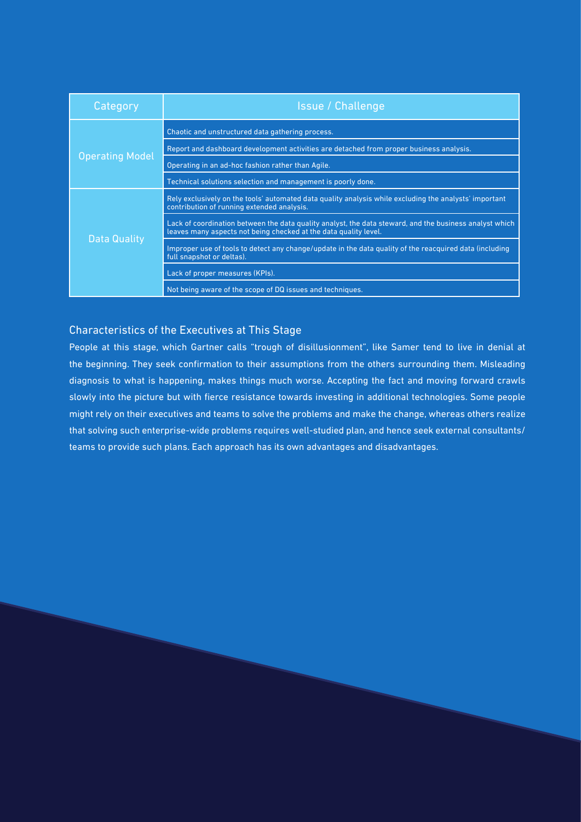| Category               | <b>Issue / Challenge</b>                                                                                                                                                    |
|------------------------|-----------------------------------------------------------------------------------------------------------------------------------------------------------------------------|
|                        | Chaotic and unstructured data gathering process.                                                                                                                            |
|                        | Report and dashboard development activities are detached from proper business analysis.                                                                                     |
| <b>Operating Model</b> | Operating in an ad-hoc fashion rather than Agile.                                                                                                                           |
|                        | Technical solutions selection and management is poorly done.                                                                                                                |
|                        | Rely exclusively on the tools' automated data quality analysis while excluding the analysts' important<br>contribution of running extended analysis.                        |
|                        | Lack of coordination between the data quality analyst, the data steward, and the business analyst which<br>leaves many aspects not being checked at the data quality level. |
| Data Quality           | Improper use of tools to detect any change/update in the data quality of the reacquired data (including<br>full snapshot or deltas).                                        |
|                        | Lack of proper measures (KPIs).                                                                                                                                             |
|                        | Not being aware of the scope of DQ issues and techniques.                                                                                                                   |

#### Characteristics of the Executives at This Stage

People at this stage, which Gartner calls "trough of disillusionment", like Samer tend to live in denial at the beginning. They seek confirmation to their assumptions from the others surrounding them. Misleading diagnosis to what is happening, makes things much worse. Accepting the fact and moving forward crawls slowly into the picture but with fierce resistance towards investing in additional technologies. Some people might rely on their executives and teams to solve the problems and make the change, whereas others realize that solving such enterprise-wide problems requires well-studied plan, and hence seek external consultants/ teams to provide such plans. Each approach has its own advantages and disadvantages.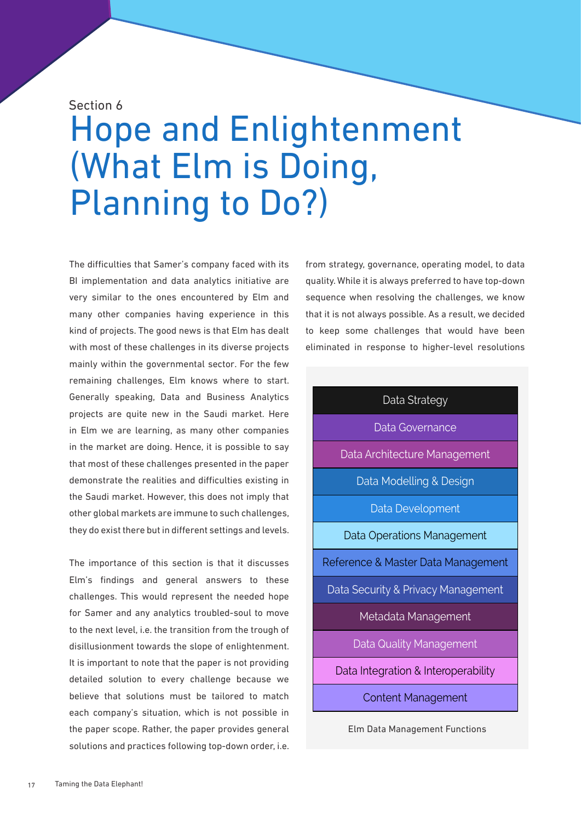#### Section 6

## Hope and Enlightenment (What Elm is Doing, Planning to Do?)

The difficulties that Samer's company faced with its BI implementation and data analytics initiative are very similar to the ones encountered by Elm and many other companies having experience in this kind of projects. The good news is that Elm has dealt with most of these challenges in its diverse projects mainly within the governmental sector. For the few remaining challenges, Elm knows where to start. Generally speaking, Data and Business Analytics projects are quite new in the Saudi market. Here in Elm we are learning, as many other companies in the market are doing. Hence, it is possible to say that most of these challenges presented in the paper demonstrate the realities and difficulties existing in the Saudi market. However, this does not imply that other global markets are immune to such challenges, they do exist there but in different settings and levels.

The importance of this section is that it discusses Elm's findings and general answers to these challenges. This would represent the needed hope for Samer and any analytics troubled-soul to move to the next level, i.e. the transition from the trough of disillusionment towards the slope of enlightenment. It is important to note that the paper is not providing detailed solution to every challenge because we believe that solutions must be tailored to match each company's situation, which is not possible in the paper scope. Rather, the paper provides general solutions and practices following top-down order, i.e. from strategy, governance, operating model, to data quality. While it is always preferred to have top-down sequence when resolving the challenges, we know that it is not always possible. As a result, we decided to keep some challenges that would have been eliminated in response to higher-level resolutions

#### Data Strategy

Data Governance

Data Architecture Management

Data Modelling & Design

Data Development

Data Operations Management

Reference & Master Data Management

Data Security & Privacy Management

Metadata Management

Data Quality Management

Data Integration & Interoperability

Content Management

Elm Data Management Functions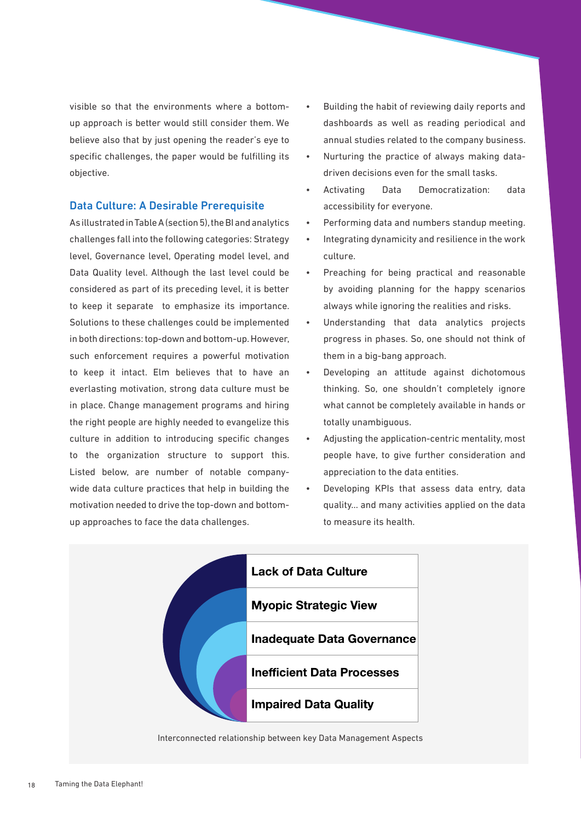visible so that the environments where a bottomup approach is better would still consider them. We believe also that by just opening the reader's eye to specific challenges, the paper would be fulfilling its objective.

#### Data Culture: A Desirable Prerequisite

As illustrated in Table A (section 5), the BI and analytics challenges fall into the following categories: Strategy level, Governance level, Operating model level, and Data Quality level. Although the last level could be considered as part of its preceding level, it is better to keep it separate to emphasize its importance. Solutions to these challenges could be implemented in both directions: top-down and bottom-up. However, such enforcement requires a powerful motivation to keep it intact. Elm believes that to have an everlasting motivation, strong data culture must be in place. Change management programs and hiring the right people are highly needed to evangelize this culture in addition to introducing specific changes to the organization structure to support this. Listed below, are number of notable companywide data culture practices that help in building the motivation needed to drive the top-down and bottomup approaches to face the data challenges.

- Building the habit of reviewing daily reports and dashboards as well as reading periodical and annual studies related to the company business.
- Nurturing the practice of always making datadriven decisions even for the small tasks.
- Activating Data Democratization: data accessibility for everyone.
- Performing data and numbers standup meeting.
- Integrating dynamicity and resilience in the work culture.
- Preaching for being practical and reasonable by avoiding planning for the happy scenarios always while ignoring the realities and risks.
- Understanding that data analytics projects progress in phases. So, one should not think of them in a big-bang approach.
- Developing an attitude against dichotomous thinking. So, one shouldn't completely ignore what cannot be completely available in hands or totally unambiguous.
- Adjusting the application-centric mentality, most people have, to give further consideration and appreciation to the data entities.
- Developing KPIs that assess data entry, data quality… and many activities applied on the data to measure its health.



Interconnected relationship between key Data Management Aspects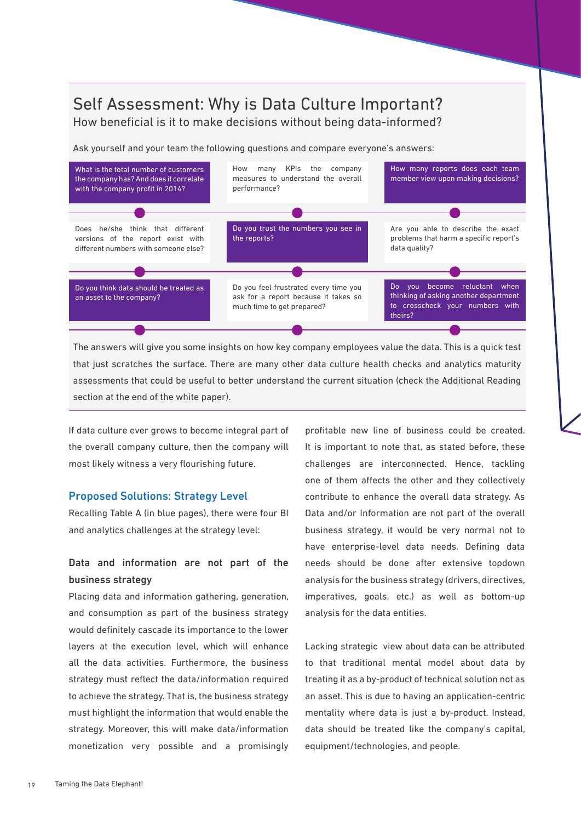### Self Assessment: Why is Data Culture Important?

How beneficial is it to make decisions without being data-informed?

Ask yourself and your team the following questions and compare everyone's answers:



The answers will give you some insights on how key company employees value the data. This is a quick test that just scratches the surface. There are many other data culture health checks and analytics maturity assessments that could be useful to better understand the current situation (check the Additional Reading section at the end of the white paper).

If data culture ever grows to become integral part of the overall company culture, then the company will most likely witness a very flourishing future.

#### Proposed Solutions: Strategy Level

Recalling Table A (in blue pages), there were four BI and analytics challenges at the strategy level:

#### Data and information are not part of the business strategy

Placing data and information gathering, generation, and consumption as part of the business strategy would definitely cascade its importance to the lower layers at the execution level, which will enhance all the data activities. Furthermore, the business strategy must reflect the data/information required to achieve the strategy. That is, the business strategy must highlight the information that would enable the strategy. Moreover, this will make data/information monetization very possible and a promisingly profitable new line of business could be created. It is important to note that, as stated before, these challenges are interconnected. Hence, tackling one of them affects the other and they collectively contribute to enhance the overall data strategy. As Data and/or Information are not part of the overall business strategy, it would be very normal not to have enterprise-level data needs. Defining data needs should be done after extensive topdown analysis for the business strategy (drivers, directives, imperatives, goals, etc.) as well as bottom-up analysis for the data entities.

Lacking strategic view about data can be attributed to that traditional mental model about data by treating it as a by-product of technical solution not as an asset. This is due to having an application-centric mentality where data is just a by-product. Instead, data should be treated like the company's capital, equipment/technologies, and people.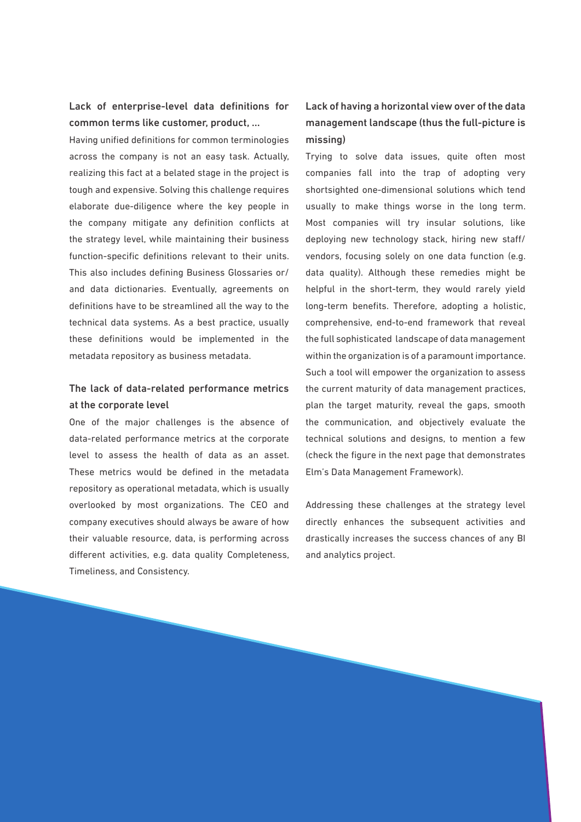Lack of enterprise-level data definitions for common terms like customer, product, …

Having unified definitions for common terminologies across the company is not an easy task. Actually, realizing this fact at a belated stage in the project is tough and expensive. Solving this challenge requires elaborate due-diligence where the key people in the company mitigate any definition conflicts at the strategy level, while maintaining their business function-specific definitions relevant to their units. This also includes defining Business Glossaries or/ and data dictionaries. Eventually, agreements on definitions have to be streamlined all the way to the technical data systems. As a best practice, usually these definitions would be implemented in the metadata repository as business metadata.

#### The lack of data-related performance metrics at the corporate level

One of the major challenges is the absence of data-related performance metrics at the corporate level to assess the health of data as an asset. These metrics would be defined in the metadata repository as operational metadata, which is usually overlooked by most organizations. The CEO and company executives should always be aware of how their valuable resource, data, is performing across different activities, e.g. data quality Completeness, Timeliness, and Consistency.

#### Lack of having a horizontal view over of the data management landscape (thus the full-picture is missing)

Trying to solve data issues, quite often most companies fall into the trap of adopting very shortsighted one-dimensional solutions which tend usually to make things worse in the long term. Most companies will try insular solutions, like deploying new technology stack, hiring new staff/ vendors, focusing solely on one data function (e.g. data quality). Although these remedies might be helpful in the short-term, they would rarely yield long-term benefits. Therefore, adopting a holistic, comprehensive, end-to-end framework that reveal the full sophisticated landscape of data management within the organization is of a paramount importance. Such a tool will empower the organization to assess the current maturity of data management practices, plan the target maturity, reveal the gaps, smooth the communication, and objectively evaluate the technical solutions and designs, to mention a few (check the figure in the next page that demonstrates Elm's Data Management Framework).

Addressing these challenges at the strategy level directly enhances the subsequent activities and drastically increases the success chances of any BI and analytics project.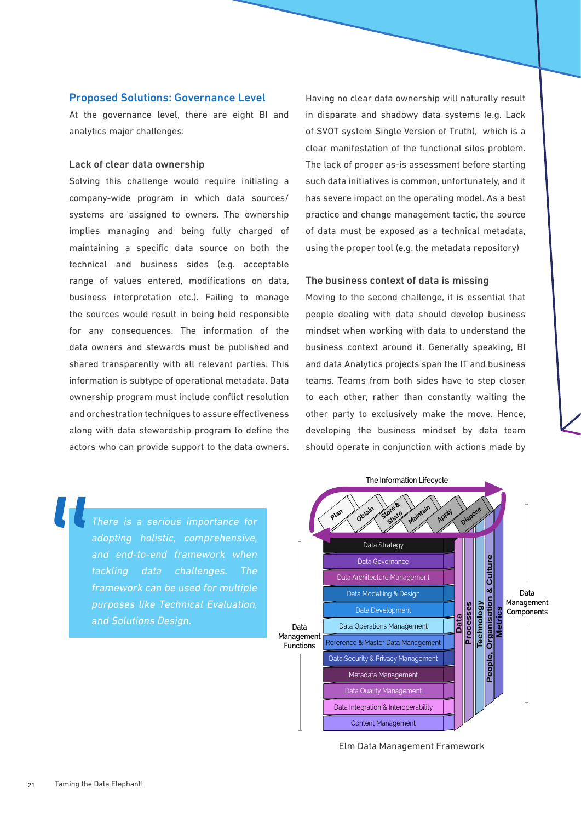#### Proposed Solutions: Governance Level

At the governance level, there are eight BI and analytics major challenges:

#### Lack of clear data ownership

Solving this challenge would require initiating a company-wide program in which data sources/ systems are assigned to owners. The ownership implies managing and being fully charged of maintaining a specific data source on both the technical and business sides (e.g. acceptable range of values entered, modifications on data, business interpretation etc.). Failing to manage the sources would result in being held responsible for any consequences. The information of the data owners and stewards must be published and shared transparently with all relevant parties. This information is subtype of operational metadata. Data ownership program must include conflict resolution and orchestration techniques to assure effectiveness along with data stewardship program to define the actors who can provide support to the data owners.

Having no clear data ownership will naturally result in disparate and shadowy data systems (e.g. Lack of SVOT system Single Version of Truth), which is a clear manifestation of the functional silos problem. The lack of proper as-is assessment before starting such data initiatives is common, unfortunately, and it has severe impact on the operating model. As a best practice and change management tactic, the source of data must be exposed as a technical metadata, using the proper tool (e.g. the metadata repository)

#### The business context of data is missing

Moving to the second challenge, it is essential that people dealing with data should develop business mindset when working with data to understand the business context around it. Generally speaking, BI and data Analytics projects span the IT and business teams. Teams from both sides have to step closer to each other, rather than constantly waiting the other party to exclusively make the move. Hence, developing the business mindset by data team should operate in conjunction with actions made by





Elm Data Management Framework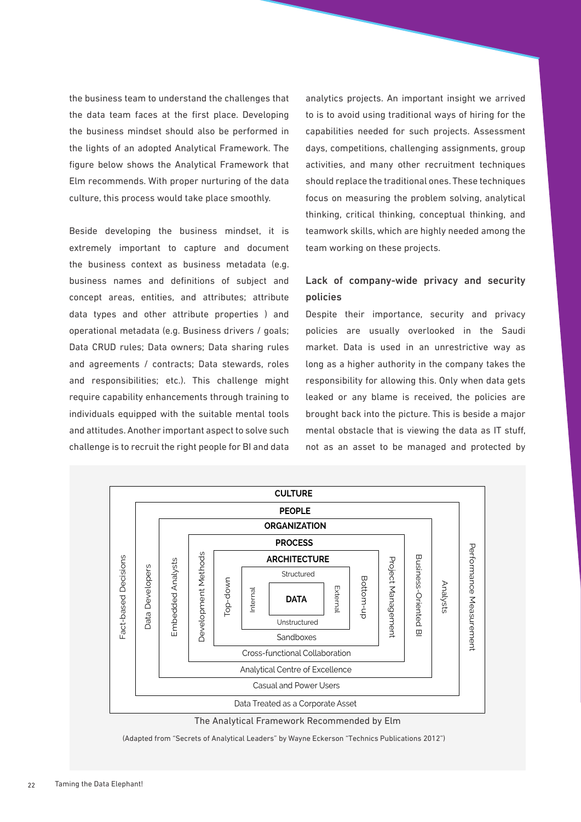the business team to understand the challenges that the data team faces at the first place. Developing the business mindset should also be performed in the lights of an adopted Analytical Framework. The figure below shows the Analytical Framework that Elm recommends. With proper nurturing of the data culture, this process would take place smoothly.

Beside developing the business mindset, it is extremely important to capture and document the business context as business metadata (e.g. business names and definitions of subject and concept areas, entities, and attributes; attribute data types and other attribute properties ) and operational metadata (e.g. Business drivers / goals; Data CRUD rules; Data owners; Data sharing rules and agreements / contracts; Data stewards, roles and responsibilities; etc.). This challenge might require capability enhancements through training to individuals equipped with the suitable mental tools and attitudes. Another important aspect to solve such challenge is to recruit the right people for BI and data

analytics projects. An important insight we arrived to is to avoid using traditional ways of hiring for the capabilities needed for such projects. Assessment days, competitions, challenging assignments, group activities, and many other recruitment techniques should replace the traditional ones. These techniques focus on measuring the problem solving, analytical thinking, critical thinking, conceptual thinking, and teamwork skills, which are highly needed among the team working on these projects.

#### Lack of company-wide privacy and security policies

Despite their importance, security and privacy policies are usually overlooked in the Saudi market. Data is used in an unrestrictive way as long as a higher authority in the company takes the responsibility for allowing this. Only when data gets leaked or any blame is received, the policies are brought back into the picture. This is beside a major mental obstacle that is viewing the data as IT stuff, not as an asset to be managed and protected by



The Analytical Framework Recommended by Elm

(Adapted from "Secrets of Analytical Leaders" by Wayne Eckerson "Technics Publications 2012")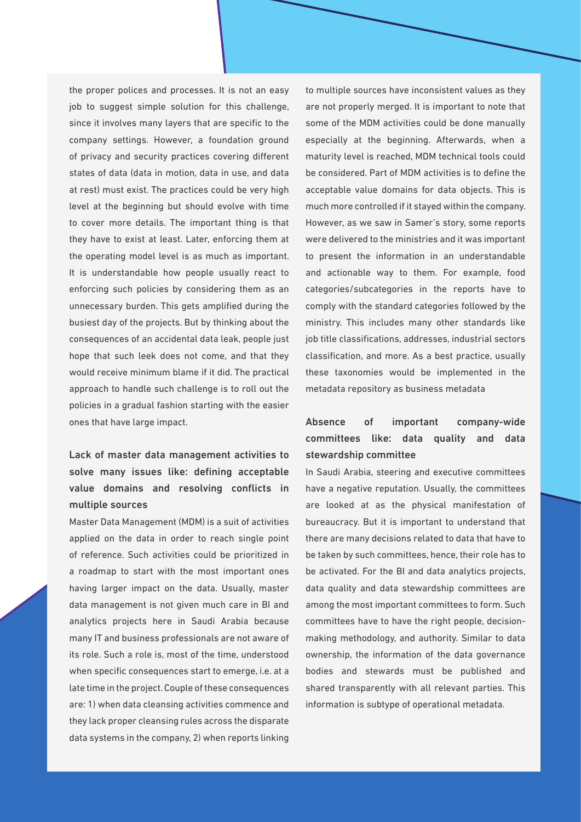the proper polices and processes. It is not an easy job to suggest simple solution for this challenge, since it involves many layers that are specific to the company settings. However, a foundation ground of privacy and security practices covering different states of data (data in motion, data in use, and data at rest) must exist. The practices could be very high level at the beginning but should evolve with time to cover more details. The important thing is that they have to exist at least. Later, enforcing them at the operating model level is as much as important. It is understandable how people usually react to enforcing such policies by considering them as an unnecessary burden. This gets amplified during the busiest day of the projects. But by thinking about the consequences of an accidental data leak, people just hope that such leek does not come, and that they would receive minimum blame if it did. The practical approach to handle such challenge is to roll out the policies in a gradual fashion starting with the easier ones that have large impact.

#### Lack of master data management activities to solve many issues like: defining acceptable value domains and resolving conflicts in multiple sources

Master Data Management (MDM) is a suit of activities applied on the data in order to reach single point of reference. Such activities could be prioritized in a roadmap to start with the most important ones having larger impact on the data. Usually, master data management is not given much care in BI and analytics projects here in Saudi Arabia because many IT and business professionals are not aware of its role. Such a role is, most of the time, understood when specific consequences start to emerge, i.e. at a late time in the project. Couple of these consequences are: 1) when data cleansing activities commence and they lack proper cleansing rules across the disparate data systems in the company, 2) when reports linking to multiple sources have inconsistent values as they are not properly merged. It is important to note that some of the MDM activities could be done manually especially at the beginning. Afterwards, when a maturity level is reached, MDM technical tools could be considered. Part of MDM activities is to define the acceptable value domains for data objects. This is much more controlled if it stayed within the company. However, as we saw in Samer's story, some reports were delivered to the ministries and it was important to present the information in an understandable and actionable way to them. For example, food categories/subcategories in the reports have to comply with the standard categories followed by the ministry. This includes many other standards like job title classifications, addresses, industrial sectors classification, and more. As a best practice, usually these taxonomies would be implemented in the metadata repository as business metadata

#### Absence of important company-wide committees like: data quality and data stewardship committee

In Saudi Arabia, steering and executive committees have a negative reputation. Usually, the committees are looked at as the physical manifestation of bureaucracy. But it is important to understand that there are many decisions related to data that have to be taken by such committees, hence, their role has to be activated. For the BI and data analytics projects, data quality and data stewardship committees are among the most important committees to form. Such committees have to have the right people, decisionmaking methodology, and authority. Similar to data ownership, the information of the data governance bodies and stewards must be published and shared transparently with all relevant parties. This information is subtype of operational metadata.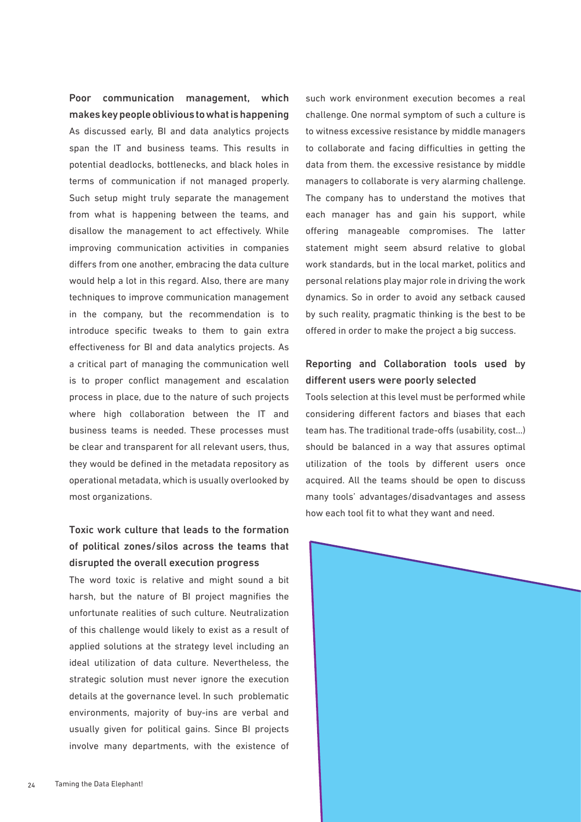Poor communication management, which makes key people oblivious to what is happening As discussed early, BI and data analytics projects span the IT and business teams. This results in potential deadlocks, bottlenecks, and black holes in terms of communication if not managed properly. Such setup might truly separate the management from what is happening between the teams, and disallow the management to act effectively. While improving communication activities in companies differs from one another, embracing the data culture would help a lot in this regard. Also, there are many techniques to improve communication management in the company, but the recommendation is to introduce specific tweaks to them to gain extra effectiveness for BI and data analytics projects. As a critical part of managing the communication well is to proper conflict management and escalation process in place, due to the nature of such projects where high collaboration between the IT and business teams is needed. These processes must be clear and transparent for all relevant users, thus, they would be defined in the metadata repository as operational metadata, which is usually overlooked by most organizations.

#### Toxic work culture that leads to the formation of political zones/silos across the teams that disrupted the overall execution progress

The word toxic is relative and might sound a bit harsh, but the nature of BI project magnifies the unfortunate realities of such culture. Neutralization of this challenge would likely to exist as a result of applied solutions at the strategy level including an ideal utilization of data culture. Nevertheless, the strategic solution must never ignore the execution details at the governance level. In such problematic environments, majority of buy-ins are verbal and usually given for political gains. Since BI projects involve many departments, with the existence of

such work environment execution becomes a real challenge. One normal symptom of such a culture is to witness excessive resistance by middle managers to collaborate and facing difficulties in getting the data from them. the excessive resistance by middle managers to collaborate is very alarming challenge. The company has to understand the motives that each manager has and gain his support, while offering manageable compromises. The latter statement might seem absurd relative to global work standards, but in the local market, politics and personal relations play major role in driving the work dynamics. So in order to avoid any setback caused by such reality, pragmatic thinking is the best to be offered in order to make the project a big success.

#### Reporting and Collaboration tools used by different users were poorly selected

Tools selection at this level must be performed while considering different factors and biases that each team has. The traditional trade-offs (usability, cost…) should be balanced in a way that assures optimal utilization of the tools by different users once acquired. All the teams should be open to discuss many tools' advantages/disadvantages and assess how each tool fit to what they want and need.

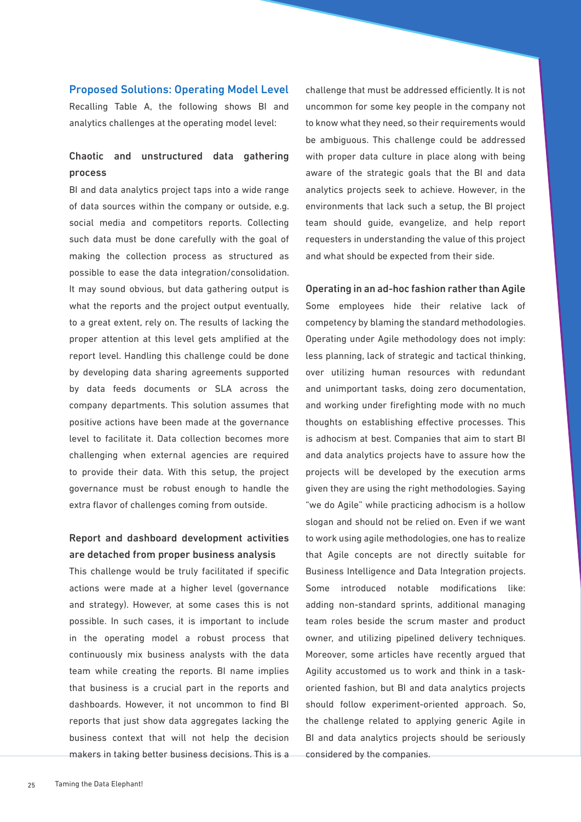#### Proposed Solutions: Operating Model Level

Recalling Table A, the following shows BI and analytics challenges at the operating model level:

#### Chaotic and unstructured data gathering process

BI and data analytics project taps into a wide range of data sources within the company or outside, e.g. social media and competitors reports. Collecting such data must be done carefully with the goal of making the collection process as structured as possible to ease the data integration/consolidation. It may sound obvious, but data gathering output is what the reports and the project output eventually, to a great extent, rely on. The results of lacking the proper attention at this level gets amplified at the report level. Handling this challenge could be done by developing data sharing agreements supported by data feeds documents or SLA across the company departments. This solution assumes that positive actions have been made at the governance level to facilitate it. Data collection becomes more challenging when external agencies are required to provide their data. With this setup, the project governance must be robust enough to handle the extra flavor of challenges coming from outside.

#### Report and dashboard development activities are detached from proper business analysis

This challenge would be truly facilitated if specific actions were made at a higher level (governance and strategy). However, at some cases this is not possible. In such cases, it is important to include in the operating model a robust process that continuously mix business analysts with the data team while creating the reports. BI name implies that business is a crucial part in the reports and dashboards. However, it not uncommon to find BI reports that just show data aggregates lacking the business context that will not help the decision makers in taking better business decisions. This is a challenge that must be addressed efficiently. It is not uncommon for some key people in the company not to know what they need, so their requirements would be ambiguous. This challenge could be addressed with proper data culture in place along with being aware of the strategic goals that the BI and data analytics projects seek to achieve. However, in the environments that lack such a setup, the BI project team should guide, evangelize, and help report requesters in understanding the value of this project and what should be expected from their side.

Operating in an ad-hoc fashion rather than Agile Some employees hide their relative lack of competency by blaming the standard methodologies. Operating under Agile methodology does not imply: less planning, lack of strategic and tactical thinking, over utilizing human resources with redundant and unimportant tasks, doing zero documentation, and working under firefighting mode with no much thoughts on establishing effective processes. This is adhocism at best. Companies that aim to start BI and data analytics projects have to assure how the projects will be developed by the execution arms given they are using the right methodologies. Saying "we do Agile" while practicing adhocism is a hollow slogan and should not be relied on. Even if we want to work using agile methodologies, one has to realize that Agile concepts are not directly suitable for Business Intelligence and Data Integration projects. Some introduced notable modifications like: adding non-standard sprints, additional managing team roles beside the scrum master and product owner, and utilizing pipelined delivery techniques. Moreover, some articles have recently argued that Agility accustomed us to work and think in a taskoriented fashion, but BI and data analytics projects should follow experiment-oriented approach. So, the challenge related to applying generic Agile in BI and data analytics projects should be seriously considered by the companies.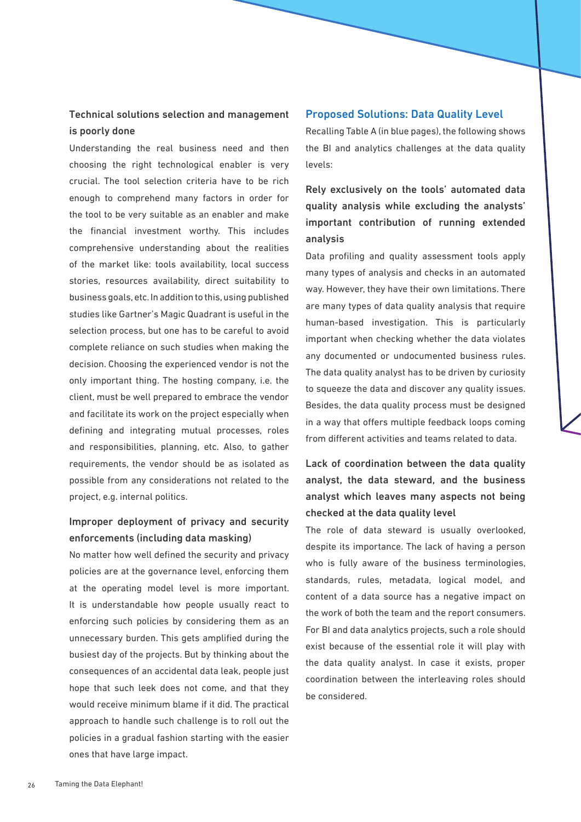#### Technical solutions selection and management is poorly done

Understanding the real business need and then choosing the right technological enabler is very crucial. The tool selection criteria have to be rich enough to comprehend many factors in order for the tool to be very suitable as an enabler and make the financial investment worthy. This includes comprehensive understanding about the realities of the market like: tools availability, local success stories, resources availability, direct suitability to business goals, etc. In addition to this, using published studies like Gartner's Magic Quadrant is useful in the selection process, but one has to be careful to avoid complete reliance on such studies when making the decision. Choosing the experienced vendor is not the only important thing. The hosting company, i.e. the client, must be well prepared to embrace the vendor and facilitate its work on the project especially when defining and integrating mutual processes, roles and responsibilities, planning, etc. Also, to gather requirements, the vendor should be as isolated as possible from any considerations not related to the project, e.g. internal politics.

#### Improper deployment of privacy and security enforcements (including data masking)

No matter how well defined the security and privacy policies are at the governance level, enforcing them at the operating model level is more important. It is understandable how people usually react to enforcing such policies by considering them as an unnecessary burden. This gets amplified during the busiest day of the projects. But by thinking about the consequences of an accidental data leak, people just hope that such leek does not come, and that they would receive minimum blame if it did. The practical approach to handle such challenge is to roll out the policies in a gradual fashion starting with the easier ones that have large impact.

#### Proposed Solutions: Data Quality Level

Recalling Table A (in blue pages), the following shows the BI and analytics challenges at the data quality levels:

Rely exclusively on the tools' automated data quality analysis while excluding the analysts' important contribution of running extended analysis

Data profiling and quality assessment tools apply many types of analysis and checks in an automated way. However, they have their own limitations. There are many types of data quality analysis that require human-based investigation. This is particularly important when checking whether the data violates any documented or undocumented business rules. The data quality analyst has to be driven by curiosity to squeeze the data and discover any quality issues. Besides, the data quality process must be designed in a way that offers multiple feedback loops coming from different activities and teams related to data.

#### Lack of coordination between the data quality analyst, the data steward, and the business analyst which leaves many aspects not being checked at the data quality level

The role of data steward is usually overlooked, despite its importance. The lack of having a person who is fully aware of the business terminologies, standards, rules, metadata, logical model, and content of a data source has a negative impact on the work of both the team and the report consumers. For BI and data analytics projects, such a role should exist because of the essential role it will play with the data quality analyst. In case it exists, proper coordination between the interleaving roles should be considered.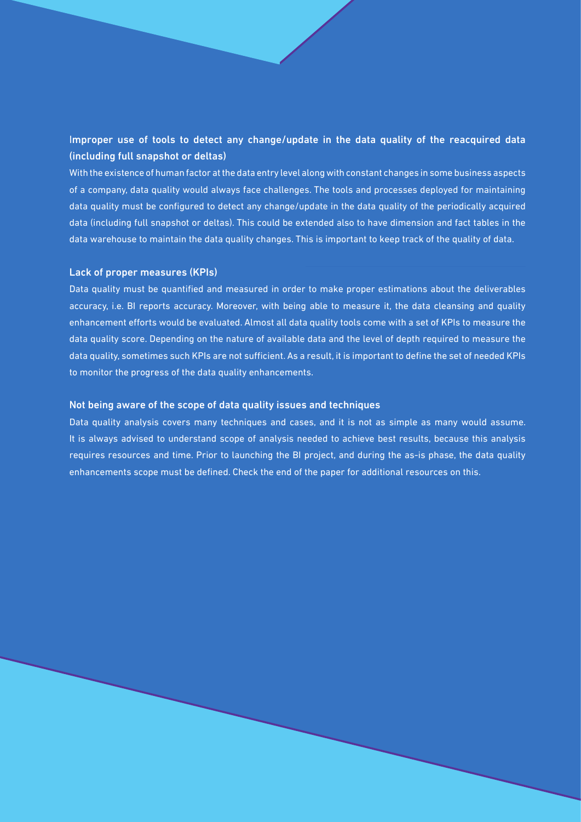#### Improper use of tools to detect any change/update in the data quality of the reacquired data (including full snapshot or deltas)

With the existence of human factor at the data entry level along with constant changes in some business aspects of a company, data quality would always face challenges. The tools and processes deployed for maintaining data quality must be configured to detect any change/update in the data quality of the periodically acquired data (including full snapshot or deltas). This could be extended also to have dimension and fact tables in the data warehouse to maintain the data quality changes. This is important to keep track of the quality of data.

#### Lack of proper measures (KPIs)

Data quality must be quantified and measured in order to make proper estimations about the deliverables accuracy, i.e. BI reports accuracy. Moreover, with being able to measure it, the data cleansing and quality enhancement efforts would be evaluated. Almost all data quality tools come with a set of KPIs to measure the data quality score. Depending on the nature of available data and the level of depth required to measure the data quality, sometimes such KPIs are not sufficient. As a result, it is important to define the set of needed KPIs to monitor the progress of the data quality enhancements.

#### Not being aware of the scope of data quality issues and techniques

Data quality analysis covers many techniques and cases, and it is not as simple as many would assume. It is always advised to understand scope of analysis needed to achieve best results, because this analysis requires resources and time. Prior to launching the BI project, and during the as-is phase, the data quality enhancements scope must be defined. Check the end of the paper for additional resources on this.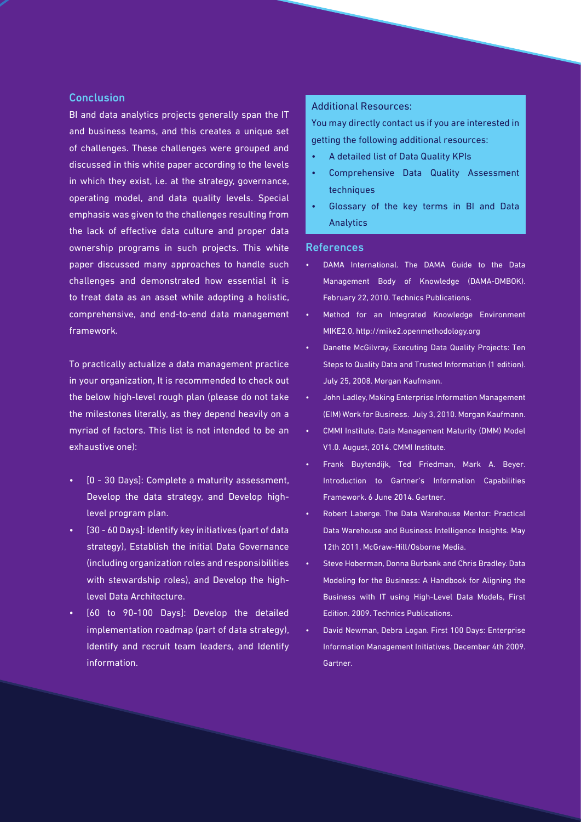#### **Conclusion**

BI and data analytics projects generally span the IT and business teams, and this creates a unique set of challenges. These challenges were grouped and discussed in this white paper according to the levels in which they exist, i.e. at the strategy, governance, operating model, and data quality levels. Special emphasis was given to the challenges resulting from the lack of effective data culture and proper data ownership programs in such projects. This white paper discussed many approaches to handle such challenges and demonstrated how essential it is to treat data as an asset while adopting a holistic, comprehensive, and end-to-end data management framework.

To practically actualize a data management practice in your organization, It is recommended to check out the below high-level rough plan (please do not take the milestones literally, as they depend heavily on a myriad of factors. This list is not intended to be an exhaustive one):

- [0 30 Days]: Complete a maturity assessment, Develop the data strategy, and Develop highlevel program plan.
- [30 60 Days]: Identify key initiatives (part of data strategy), Establish the initial Data Governance (including organization roles and responsibilities with stewardship roles), and Develop the highlevel Data Architecture.
- [60 to 90-100 Days]: Develop the detailed implementation roadmap (part of data strategy), Identify and recruit team leaders, and Identify information.

#### Additional Resources:

You may directly contact us if you are interested in getting the following additional resources:

- A detailed list of Data Quality KPIs
- Comprehensive Data Quality Assessment techniques
- Glossary of the key terms in BI and Data Analytics

#### References

- DAMA International. The DAMA Guide to the Data Management Body of Knowledge (DAMA-DMBOK). February 22, 2010. Technics Publications.
- Method for an Integrated Knowledge Environment MIKE2.0, http://mike2.openmethodology.org
- Danette McGilvray, Executing Data Quality Projects: Ten Steps to Quality Data and Trusted Information (1 edition). July 25, 2008. Morgan Kaufmann.
- John Ladley, Making Enterprise Information Management (EIM) Work for Business. July 3, 2010. Morgan Kaufmann.
- CMMI Institute. Data Management Maturity (DMM) Model V1.0. August, 2014. CMMI Institute.
- Frank Buytendijk, Ted Friedman, Mark A. Beyer. Introduction to Gartner's Information Capabilities Framework. 6 June 2014. Gartner.
- Robert Laberge. The Data Warehouse Mentor: Practical Data Warehouse and Business Intelligence Insights. May 12th 2011. McGraw-Hill/Osborne Media.
- Steve Hoberman, Donna Burbank and Chris Bradley. Data Modeling for the Business: A Handbook for Aligning the Business with IT using High-Level Data Models, First Edition. 2009. Technics Publications.
- David Newman, Debra Logan. First 100 Days: Enterprise Information Management Initiatives. December 4th 2009. Gartner.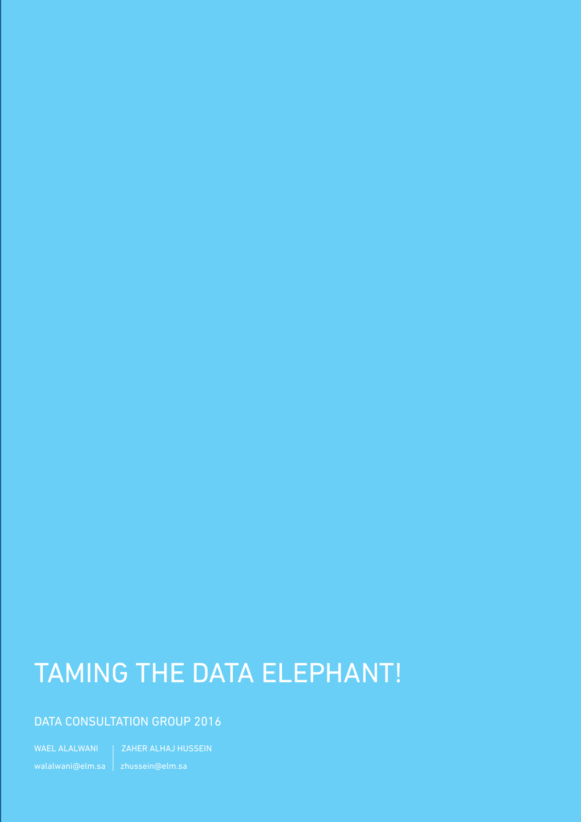### TAMING THE DATA ELEPHANT!

#### DATA CONSULTATION GROUP 2016

WAEL ALALWANI | ZAHER ALHAJ HUSSEIN walalwani@elm.sa zhussein@elm.sa